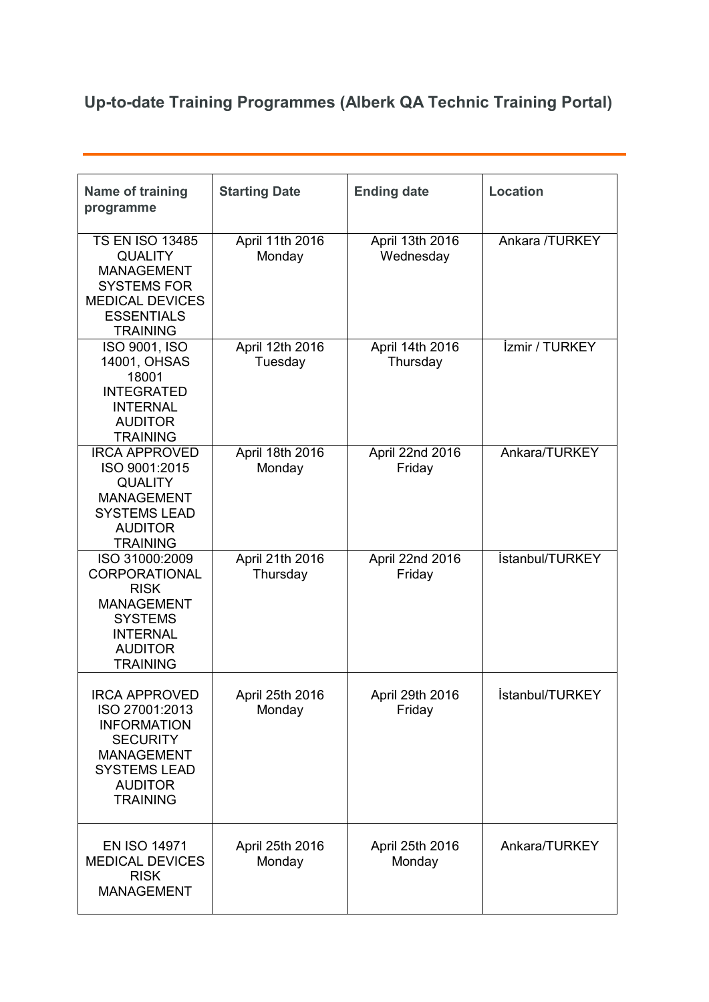## **Up-to-date Training Programmes (Alberk QA Technic Training Portal)**

| <b>Name of training</b><br>programme                                                                                                                             | <b>Starting Date</b>        | <b>Ending date</b>           | <b>Location</b>              |
|------------------------------------------------------------------------------------------------------------------------------------------------------------------|-----------------------------|------------------------------|------------------------------|
| <b>TS EN ISO 13485</b><br><b>QUALITY</b><br><b>MANAGEMENT</b><br><b>SYSTEMS FOR</b><br><b>MEDICAL DEVICES</b><br><b>ESSENTIALS</b><br><b>TRAINING</b>            | April 11th 2016<br>Monday   | April 13th 2016<br>Wednesday | Ankara /TURKEY               |
| ISO 9001, ISO<br>14001, OHSAS<br>18001<br><b>INTEGRATED</b><br><b>INTERNAL</b><br><b>AUDITOR</b><br><b>TRAINING</b>                                              | April 12th 2016<br>Tuesday  | April 14th 2016<br>Thursday  | <i><b>Izmir / TURKEY</b></i> |
| <b>IRCA APPROVED</b><br>ISO 9001:2015<br><b>QUALITY</b><br><b>MANAGEMENT</b><br><b>SYSTEMS LEAD</b><br><b>AUDITOR</b><br><b>TRAINING</b>                         | April 18th 2016<br>Monday   | April 22nd 2016<br>Friday    | Ankara/TURKEY                |
| ISO 31000:2009<br>CORPORATIONAL<br><b>RISK</b><br><b>MANAGEMENT</b><br><b>SYSTEMS</b><br><b>INTERNAL</b><br><b>AUDITOR</b><br><b>TRAINING</b>                    | April 21th 2016<br>Thursday | April 22nd 2016<br>Friday    | İstanbul/TURKEY              |
| <b>IRCA APPROVED</b><br>ISO 27001:2013<br><b>INFORMATION</b><br><b>SECURITY</b><br><b>MANAGEMENT</b><br><b>SYSTEMS LEAD</b><br><b>AUDITOR</b><br><b>TRAINING</b> | April 25th 2016<br>Monday   | April 29th 2016<br>Friday    | İstanbul/TURKEY              |
| <b>EN ISO 14971</b><br><b>MEDICAL DEVICES</b><br><b>RISK</b><br><b>MANAGEMENT</b>                                                                                | April 25th 2016<br>Monday   | April 25th 2016<br>Monday    | Ankara/TURKEY                |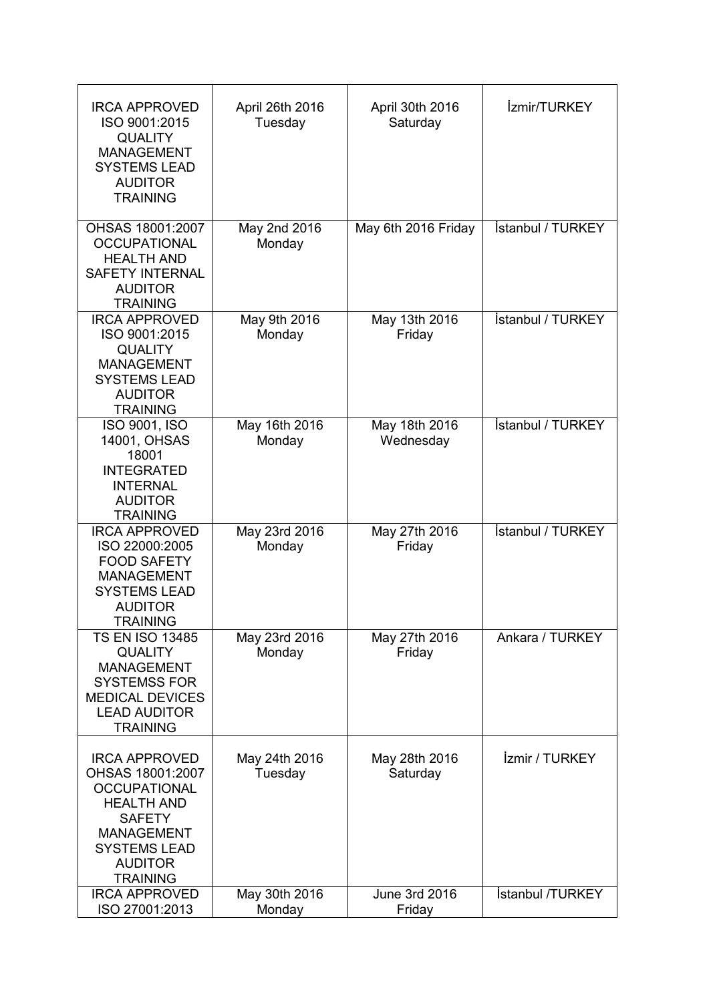| <b>IRCA APPROVED</b><br>ISO 9001:2015<br><b>QUALITY</b><br><b>MANAGEMENT</b><br><b>SYSTEMS LEAD</b><br><b>AUDITOR</b><br><b>TRAINING</b>                                               | April 26th 2016<br>Tuesday | April 30th 2016<br>Saturday | İzmir/TURKEY                 |
|----------------------------------------------------------------------------------------------------------------------------------------------------------------------------------------|----------------------------|-----------------------------|------------------------------|
| OHSAS 18001:2007<br><b>OCCUPATIONAL</b><br><b>HEALTH AND</b><br><b>SAFETY INTERNAL</b><br><b>AUDITOR</b><br><b>TRAINING</b>                                                            | May 2nd 2016<br>Monday     | May 6th 2016 Friday         | <b>Istanbul / TURKEY</b>     |
| <b>IRCA APPROVED</b><br>ISO 9001:2015<br><b>QUALITY</b><br><b>MANAGEMENT</b><br><b>SYSTEMS LEAD</b><br><b>AUDITOR</b><br><b>TRAINING</b>                                               | May 9th 2016<br>Monday     | May 13th 2016<br>Friday     | İstanbul / TURKEY            |
| ISO 9001, ISO<br>14001, OHSAS<br>18001<br><b>INTEGRATED</b><br><b>INTERNAL</b><br><b>AUDITOR</b><br><b>TRAINING</b>                                                                    | May 16th 2016<br>Monday    | May 18th 2016<br>Wednesday  | <b>İstanbul / TURKEY</b>     |
| <b>IRCA APPROVED</b><br>ISO 22000:2005<br><b>FOOD SAFETY</b><br><b>MANAGEMENT</b><br><b>SYSTEMS LEAD</b><br><b>AUDITOR</b><br><b>TRAINING</b>                                          | May 23rd 2016<br>Monday    | May 27th 2016<br>Friday     | İstanbul / TURKEY            |
| <b>TS EN ISO 13485</b><br><b>QUALITY</b><br><b>MANAGEMENT</b><br><b>SYSTEMSS FOR</b><br><b>MEDICAL DEVICES</b><br><b>LEAD AUDITOR</b><br><b>TRAINING</b>                               | May 23rd 2016<br>Monday    | May 27th 2016<br>Friday     | Ankara / TURKEY              |
| <b>IRCA APPROVED</b><br>OHSAS 18001:2007<br><b>OCCUPATIONAL</b><br><b>HEALTH AND</b><br><b>SAFETY</b><br><b>MANAGEMENT</b><br><b>SYSTEMS LEAD</b><br><b>AUDITOR</b><br><b>TRAINING</b> | May 24th 2016<br>Tuesday   | May 28th 2016<br>Saturday   | <i><b>Izmir / TURKEY</b></i> |
| <b>IRCA APPROVED</b><br>ISO 27001:2013                                                                                                                                                 | May 30th 2016<br>Monday    | June 3rd 2016<br>Friday     | <b>İstanbul /TURKEY</b>      |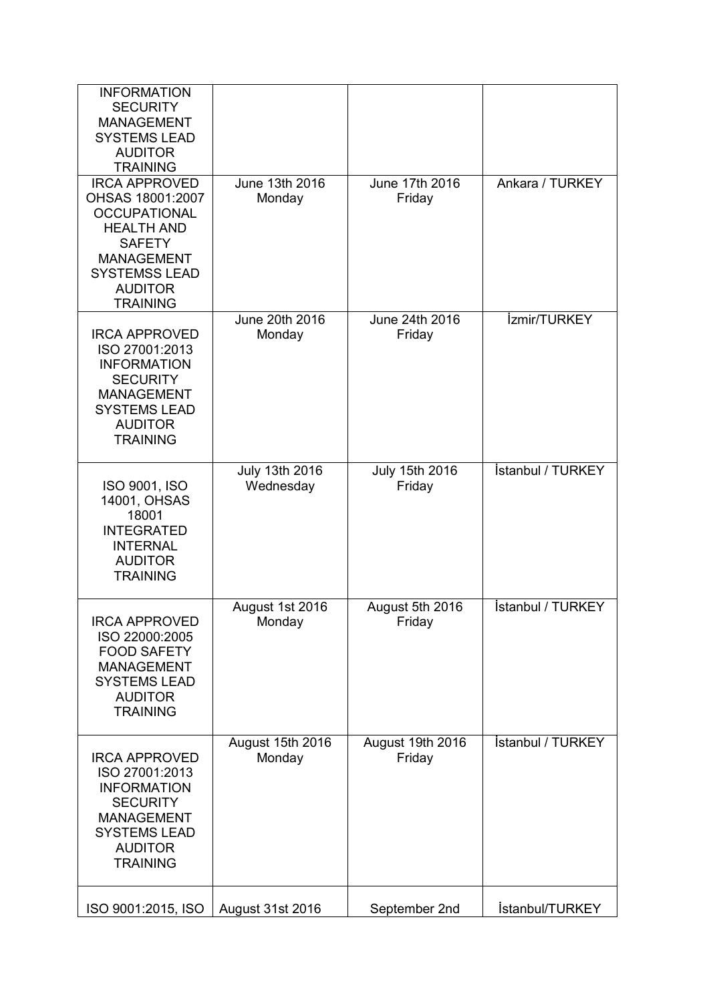| <b>INFORMATION</b><br><b>SECURITY</b><br><b>MANAGEMENT</b><br><b>SYSTEMS LEAD</b><br><b>AUDITOR</b><br><b>TRAINING</b>                                                                  |                             |                            |                          |
|-----------------------------------------------------------------------------------------------------------------------------------------------------------------------------------------|-----------------------------|----------------------------|--------------------------|
| <b>IRCA APPROVED</b><br>OHSAS 18001:2007<br><b>OCCUPATIONAL</b><br><b>HEALTH AND</b><br><b>SAFETY</b><br><b>MANAGEMENT</b><br><b>SYSTEMSS LEAD</b><br><b>AUDITOR</b><br><b>TRAINING</b> | June 13th 2016<br>Monday    | June 17th 2016<br>Friday   | Ankara / TURKEY          |
| <b>IRCA APPROVED</b><br>ISO 27001:2013<br><b>INFORMATION</b><br><b>SECURITY</b><br><b>MANAGEMENT</b><br><b>SYSTEMS LEAD</b><br><b>AUDITOR</b><br><b>TRAINING</b>                        | June 20th 2016<br>Monday    | June 24th 2016<br>Friday   | <i>izmir/TURKEY</i>      |
| ISO 9001, ISO<br>14001, OHSAS<br>18001<br><b>INTEGRATED</b><br><b>INTERNAL</b><br><b>AUDITOR</b><br><b>TRAINING</b>                                                                     | July 13th 2016<br>Wednesday | July 15th 2016<br>Friday   | İstanbul / TURKEY        |
| <b>IRCA APPROVED</b><br>ISO 22000:2005<br><b>FOOD SAFETY</b><br><b>MANAGEMENT</b><br><b>SYSTEMS LEAD</b><br><b>AUDITOR</b><br><b>TRAINING</b>                                           | August 1st 2016<br>Monday   | August 5th 2016<br>Friday  | <b>İstanbul / TURKEY</b> |
| <b>IRCA APPROVED</b><br>ISO 27001:2013<br><b>INFORMATION</b><br><b>SECURITY</b><br><b>MANAGEMENT</b><br><b>SYSTEMS LEAD</b><br><b>AUDITOR</b><br><b>TRAINING</b>                        | August 15th 2016<br>Monday  | August 19th 2016<br>Friday | İstanbul / TURKEY        |
| ISO 9001:2015, ISO                                                                                                                                                                      | August 31st 2016            | September 2nd              | İstanbul/TURKEY          |